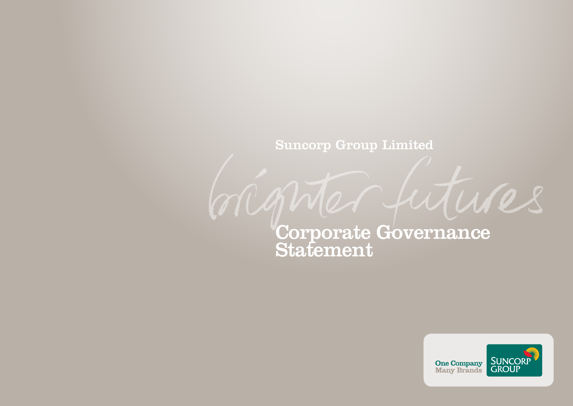## Suncorp Group Limited

marte

# Corporate Governance  ${\bf Statement}$



futures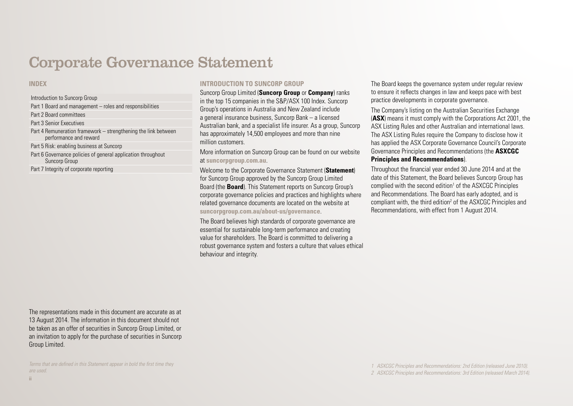## Corporate Governance Statement

#### **INDEX**

### Introduction to Suncorp Group Part 1 Board and management – roles and responsibilities Part 2 Board committees Part 3 Senior Executives Part 4 Remuneration framework – strengthening the link between performance and reward Part 5 Risk: enabling business at Suncorp Part 6 Governance policies of general application throughout Suncorp Group Part 7 Integrity of corporate reporting

#### **INTRODUCTION TO SUNCORP GROUP**

Suncorp Group Limited (**Suncorp Group** or **Company**) ranks in the top 15 companies in the S&P/ASX 100 Index. Suncorp Group's operations in Australia and New Zealand include a general insurance business, Suncorp Bank – a licensed Australian bank, and a specialist life insurer. As a group, Suncorp has approximately 14,500 employees and more than nine million customers.

More information on Suncorp Group can be found on our website at **[suncorpgroup.com.au](www.suncorpgroup.com.au)**.

Welcome to the Corporate Governance Statement (**Statement**) for Suncorp Group approved by the Suncorp Group Limited Board (the **Board**). This Statement reports on Suncorp Group's corporate governance policies and practices and highlights where related governance documents are located on the website at **[suncorpgroup.com.au/about-us/governance](www.suncorpgroup.com.au/about-us/governance)**.

The Board believes high standards of corporate governance are essential for sustainable long-term performance and creating value for shareholders. The Board is committed to delivering a robust governance system and fosters a culture that values ethical behaviour and integrity.

The Board keeps the governance system under regular review to ensure it reflects changes in law and keeps pace with best practice developments in corporate governance.

The Company's listing on the Australian Securities Exchange (**ASX**) means it must comply with the Corporations Act 2001, the ASX Listing Rules and other Australian and international laws. The ASX Listing Rules require the Company to disclose how it has applied the ASX Corporate Governance Council's Corporate Governance Principles and Recommendations (the **ASXCGC** 

#### **Principles and Recommendations**).

Throughout the financial year ended 30 June 2014 and at the date of this Statement, the Board believes Suncorp Group has complied with the second edition<sup>1</sup> of the ASXCGC Principles and Recommendations. The Board has early adopted, and is compliant with, the third edition<sup>2</sup> of the ASXCGC Principles and Recommendations, with effect from 1 August 2014.

The representations made in this document are accurate as at 13 August 2014. The information in this document should not be taken as an offer of securities in Suncorp Group Limited, or an invitation to apply for the purchase of securities in Suncorp Group Limited.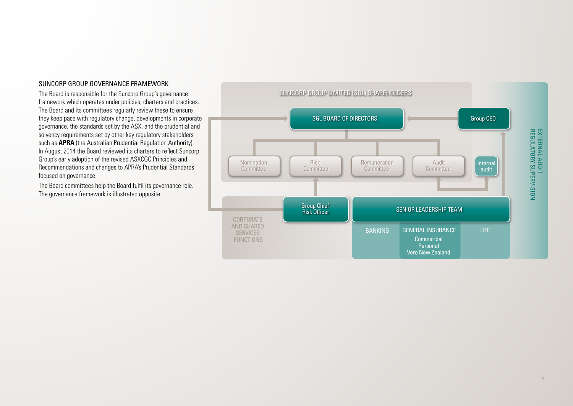#### SUNCORP GROUP GOVERNANCE FRAMEWORK

The Board is responsible for the Suncorp Group's governance framework which operates under policies, charters and practices. The Board and its committees regularly review these to ensure they keep pace with regulatory change, developments in corporate governance, the standards set by the ASX, and the prudential and solvency requirements set by other key regulatory stakeholders such as **APRA** (the Australian Prudential Regulation Authority). In August 2014 the Board reviewed its charters to reflect Suncorp Group's early adoption of the revised ASXCGC Principles and Recommendations and changes to APRA's Prudential Standards focused on governance.

The Board committees help the Board fulfil its governance role. The governance framework is illustrated opposite.

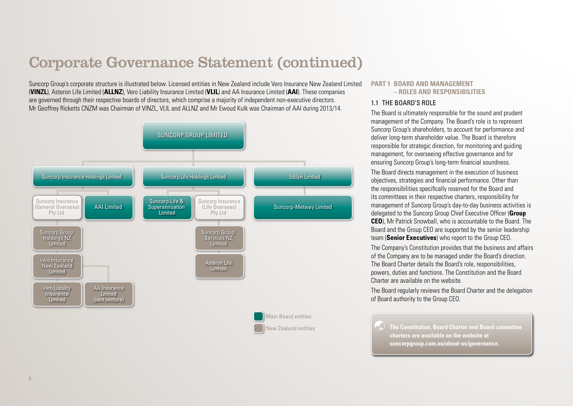Suncorp Group's corporate structure is illustrated below. Licensed entities in New Zealand include Vero Insurance New Zealand Limited (**VINZL**), Asteron Life Limited (**ALLNZ**), Vero Liability Insurance Limited (**VLIL**) and AA Insurance Limited (**AAI**). These companies are governed through their respective boards of directors, which comprise a majority of independent non-executive directors. Mr Geoffrey Ricketts CNZM was Chairman of VINZL, VLIL and ALLNZ and Mr Ewoud Kulk was Chairman of AAI during 2013/14.



#### **PART 1 BOARD AND MANAGEMENT – ROLES AND RESPONSIBILITIES**

#### 1.1 THE BOARD'S ROLE

The Board is ultimately responsible for the sound and prudent management of the Company. The Board's role is to represent Suncorp Group's shareholders, to account for performance and deliver long-term shareholder value. The Board is therefore responsible for strategic direction, for monitoring and guiding management, for overseeing effective governance and for ensuring Suncorp Group's long-term financial soundness.

The Board directs management in the execution of business objectives, strategies and financial performance. Other than the responsibilities specifically reserved for the Board and its committees in their respective charters, responsibility for management of Suncorp Group's day-to-day business activities is delegated to the Suncorp Group Chief Executive Officer (**Group CEO**), Mr Patrick Snowball, who is accountable to the Board. The Board and the Group CEO are supported by the senior leadership team (**Senior Executives**) who report to the Group CEO.

The Company's Constitution provides that the business and affairs of the Company are to be managed under the Board's direction. The Board Charter details the Board's role, responsibilities, powers, duties and functions. The Constitution and the Board Charter are available on the website.

The Board regularly reviews the Board Charter and the delegation of Board authority to the Group CEO.

 **The Constitution, Board Charter and Board committee charters are available on the website at [suncorpgroup.com.au/about-us/governance.](www.suncorpgroup.com.au/about-us/governance)**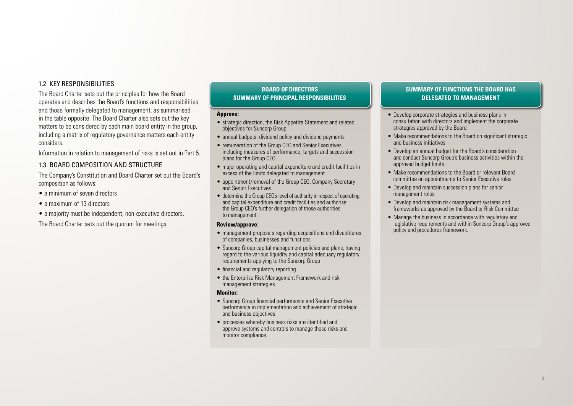#### 1.2 KEY RESPONSIBILITIES

The Board Charter sets out the principles for how the Board operates and describes the Board's functions and responsibilities and those formally delegated to management, as summarised in the table opposite. The Board Charter also sets out the key matters to be considered by each main board entity in the group. including a matrix of regulatory governance matters each entity considers.

Information in relation to management of risks is set out in Part 5.

#### 1.3 BOARD COMPOSITION AND STRUCTURE

The Company's Constitution and Board Charter set out the Board's composition as follows:

- a minimum of seven directors
- a maximum of 13 directors
- a majority must be independent, non-executive directors.

The Board Charter sets out the quorum for meetings.

#### **BOARD OF DIRECTORS SUMMARY OF PRINCIPAL RESPONSIBILITIES**

#### **Approve:**

- strategic direction, the Risk Appetite Statement and related objectives for Suncorp Group
- annual budgets, dividend policy and dividend payments
- remuneration of the Group CEO and Senior Executives. including measures of performance, targets and succession plans for the Group CEO
- major operating and capital expenditure and credit facilities in excess of the limits delegated to management
- appointment/removal of the Group CEO, Company Secretary and Senior Executives
- determine the Group CEO's level of authority in respect of operating and capital expenditure and credit facilities and authorise the Group CEO's further delegation of those authorities to management.

#### **Review/approve:**

- management proposals regarding acquisitions and divestitures of companies, businesses and functions
- Suncorp Group capital management policies and plans, having regard to the various liquidity and capital adequacy regulatory requirements applying to the Suncorp Group
- financial and regulatory reporting
- the Enterprise Risk Management Framework and risk management strategies.

#### **Monitor:**

- Suncorp Group financial performance and Senior Executive performance in implementation and achievement of strategic and business objectives
- processes whereby business risks are identified and approve systems and controls to manage those risks and monitor compliance.

#### **SUMMARY OF FUNCTIONS THE BOARD HAS DELEGATED TO MANAGEMENT**

- Develop corporate strategies and business plans in consultation with directors and implement the corporate strategies approved by the Board
- Make recommendations to the Board on significant strategic and business initiatives
- Develop an annual budget for the Board's consideration and conduct Suncorp Group's business activities within the approved budget limits
- Make recommendations to the Board or relevant Board committee on appointments to Senior Executive roles
- Develop and maintain succession plans for senior management roles
- Develop and maintain risk management systems and frameworks as approved by the Board or Risk Committee
- Manage the business in accordance with regulatory and legislative requirements and within Suncorp Group's approved policy and procedures framework.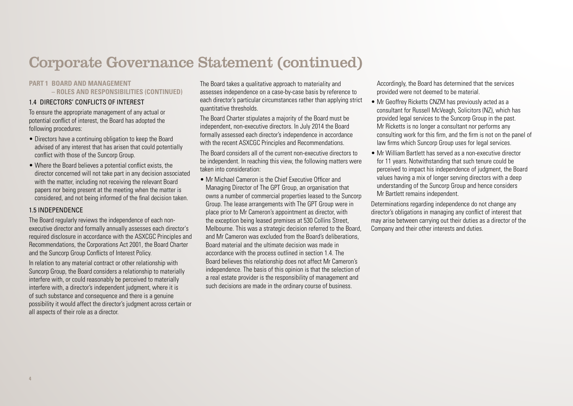### **PART 1 BOARD AND MANAGEMENT**

**– ROLES AND RESPONSIBILITIES (CONTINUED)**

#### 1.4 DIRECTORS' CONFLICTS OF INTEREST

To ensure the appropriate management of any actual or potential conflict of interest, the Board has adopted the following procedures:

- Directors have a continuing obligation to keep the Board advised of any interest that has arisen that could potentially conflict with those of the Suncorp Group.
- Where the Board believes a potential conflict exists, the director concerned will not take part in any decision associated with the matter, including not receiving the relevant Board papers nor being present at the meeting when the matter is considered, and not being informed of the final decision taken.

#### 1.5 INDEPENDENCE

The Board regularly reviews the independence of each nonexecutive director and formally annually assesses each director's required disclosure in accordance with the ASXCGC Principles and Recommendations, the Corporations Act 2001, the Board Charter and the Suncorp Group Conflicts of Interest Policy.

In relation to any material contract or other relationship with Suncorp Group, the Board considers a relationship to materially interfere with, or could reasonably be perceived to materially interfere with, a director's independent judgment, where it is of such substance and consequence and there is a genuine possibility it would affect the director's judgment across certain or all aspects of their role as a director.

The Board takes a qualitative approach to materiality and assesses independence on a case-by-case basis by reference to each director's particular circumstances rather than applying strict quantitative thresholds.

The Board Charter stipulates a majority of the Board must be independent, non-executive directors. In July 2014 the Board formally assessed each director's independence in accordance with the recent ASXCGC Principles and Recommendations.

The Board considers all of the current non-executive directors to be independent. In reaching this view, the following matters were taken into consideration:

• Mr Michael Cameron is the Chief Executive Officer and Managing Director of The GPT Group, an organisation that owns a number of commercial properties leased to the Suncorp Group. The lease arrangements with The GPT Group were in place prior to Mr Cameron's appointment as director, with the exception being leased premises at 530 Collins Street, Melbourne. This was a strategic decision referred to the Board, and Mr Cameron was excluded from the Board's deliberations, Board material and the ultimate decision was made in accordance with the process outlined in section 1.4. The Board believes this relationship does not affect Mr Cameron's independence. The basis of this opinion is that the selection of a real estate provider is the responsibility of management and such decisions are made in the ordinary course of business.

Accordingly, the Board has determined that the services provided were not deemed to be material.

- Mr Geoffrey Ricketts CNZM has previously acted as a consultant for Russell McVeagh, Solicitors (NZ), which has provided legal services to the Suncorp Group in the past. Mr Ricketts is no longer a consultant nor performs any consulting work for this firm, and the firm is not on the panel of law firms which Suncorp Group uses for legal services.
- Mr William Bartlett has served as a non-executive director for 11 years. Notwithstanding that such tenure could be perceived to impact his independence of judgment, the Board values having a mix of longer serving directors with a deep understanding of the Suncorp Group and hence considers Mr Bartlett remains independent.

Determinations regarding independence do not change any director's obligations in managing any conflict of interest that may arise between carrying out their duties as a director of the Company and their other interests and duties.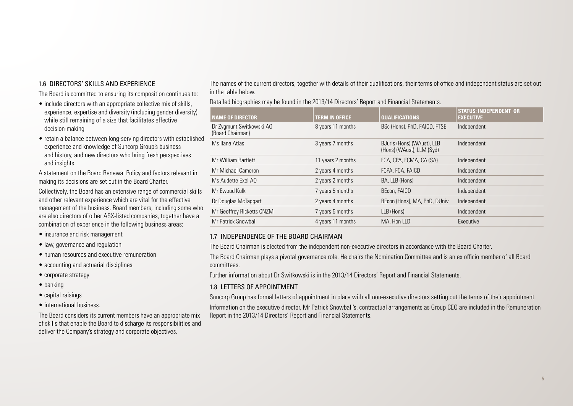#### 1.6 DIRECTORS' SKILLS AND EXPERIENCE

The Board is committed to ensuring its composition continues to:

- include directors with an appropriate collective mix of skills, experience, expertise and diversity (including gender diversity) while still remaining of a size that facilitates effective decision-making
- retain a balance between long-serving directors with established experience and knowledge of Suncorp Group's business and history, and new directors who bring fresh perspectives and insights.

A statement on the Board Renewal Policy and factors relevant in making its decisions are set out in the Board Charter.

Collectively, the Board has an extensive range of commercial skills and other relevant experience which are vital for the effective management of the business. Board members, including some who are also directors of other ASX-listed companies, together have a combination of experience in the following business areas:

- insurance and risk management
- law, governance and regulation
- human resources and executive remuneration
- accounting and actuarial disciplines
- corporate strategy
- banking
- capital raisings
- international business.

The Board considers its current members have an appropriate mix of skills that enable the Board to discharge its responsibilities and deliver the Company's strategy and corporate objectives.

The names of the current directors, together with details of their qualifications, their terms of office and independent status are set out in the table below.

Detailed biographies may be found in the 2013/14 Directors' Report and Financial Statements.

| <b>NAME OF DIRECTOR</b>                      | <b>TERM IN OFFICE</b> | <b>QUALIFICATIONS</b>                                   | <b>STATUS: INDEPENDENT OR</b><br><b>EXECUTIVE</b> |
|----------------------------------------------|-----------------------|---------------------------------------------------------|---------------------------------------------------|
| Dr Zygmunt Switkowski AO<br>(Board Chairman) | 8 years 11 months     | BSc (Hons), PhD, FAICD, FTSE                            | Independent                                       |
| Ms Ilana Atlas                               | 3 years 7 months      | BJuris (Hons) (WAust), LLB<br>(Hons) (WAust), LLM (Syd) | Independent                                       |
| Mr William Bartlett                          | 11 years 2 months     | FCA, CPA, FCMA, CA (SA)                                 | Independent                                       |
| Mr Michael Cameron                           | 2 years 4 months      | FCPA, FCA, FAICD                                        | Independent                                       |
| Ms Audette Exel AO                           | 2 years 2 months      | BA, LLB (Hons)                                          | Independent                                       |
| Mr Ewoud Kulk                                | 7 years 5 months      | BEcon, FAICD                                            | Independent                                       |
| Dr Douglas McTaggart                         | 2 years 4 months      | BEcon (Hons), MA, PhD, DUniv                            | Independent                                       |
| Mr Geoffrey Ricketts CNZM                    | 7 years 5 months      | LLB (Hons)                                              | Independent                                       |
| Mr Patrick Snowball                          | 4 years 11 months     | MA. Hon LLD                                             | Executive                                         |

#### 1.7 INDEPENDENCE OF THE BOARD CHAIRMAN

The Board Chairman is elected from the independent non-executive directors in accordance with the Board Charter.

The Board Chairman plays a pivotal governance role. He chairs the Nomination Committee and is an ex officio member of all Board committees.

Further information about Dr Switkowski is in the 2013/14 Directors' Report and Financial Statements.

#### 1.8 LETTERS OF APPOINTMENT

Suncorp Group has formal letters of appointment in place with all non-executive directors setting out the terms of their appointment. Information on the executive director, Mr Patrick Snowball's, contractual arrangements as Group CEO are included in the Remuneration Report in the 2013/14 Directors' Report and Financial Statements.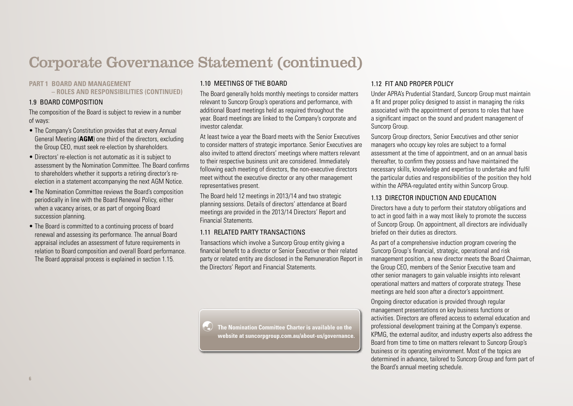#### **PART 1 BOARD AND MANAGEMENT**

**– ROLES AND RESPONSIBILITIES (CONTINUED)**

#### 1.9 BOARD COMPOSITION

The composition of the Board is subject to review in a number of ways:

- The Company's Constitution provides that at every Annual General Meeting (**AGM**) one third of the directors, excluding the Group CEO, must seek re-election by shareholders.
- Directors' re-election is not automatic as it is subject to assessment by the Nomination Committee. The Board confirms to shareholders whether it supports a retiring director's reelection in a statement accompanying the next AGM Notice.
- The Nomination Committee reviews the Board's composition periodically in line with the Board Renewal Policy, either when a vacancy arises, or as part of ongoing Board succession planning.
- The Board is committed to a continuing process of board renewal and assessing its performance. The annual Board appraisal includes an assessment of future requirements in relation to Board composition and overall Board performance. The Board appraisal process is explained in section 1.15.

## 1.10 MEETINGS OF THE BOARD

The Board generally holds monthly meetings to consider matters relevant to Suncorp Group's operations and performance, with additional Board meetings held as required throughout the year. Board meetings are linked to the Company's corporate and investor calendar.

At least twice a year the Board meets with the Senior Executives to consider matters of strategic importance. Senior Executives are also invited to attend directors' meetings where matters relevant to their respective business unit are considered. Immediately following each meeting of directors, the non-executive directors meet without the executive director or any other management representatives present.

The Board held 12 meetings in 2013/14 and two strategic planning sessions. Details of directors' attendance at Board meetings are provided in the 2013/14 Directors' Report and Financial Statements.

## 1.11 RELATED PARTY TRANSACTIONS

Transactions which involve a Suncorp Group entity giving a financial benefit to a director or Senior Executive or their related party or related entity are disclosed in the Remuneration Report in the Directors' Report and Financial Statements.

 **The Nomination Committee Charter is available on the website at [suncorpgroup.com.au/about-us/governance](www.suncorpgroup.com.au/about-us/governance).** 

### 1.12 FIT AND PROPER POLICY

Under APRA's Prudential Standard, Suncorp Group must maintain a fit and proper policy designed to assist in managing the risks associated with the appointment of persons to roles that have a significant impact on the sound and prudent management of Suncorp Group.

Suncorp Group directors, Senior Executives and other senior managers who occupy key roles are subject to a formal assessment at the time of appointment, and on an annual basis thereafter, to confirm they possess and have maintained the necessary skills, knowledge and expertise to undertake and fulfil the particular duties and responsibilities of the position they hold within the APRA-regulated entity within Suncorp Group.

#### 1.13 DIRECTOR INDUCTION AND EDUCATION

Directors have a duty to perform their statutory obligations and to act in good faith in a way most likely to promote the success of Suncorp Group. On appointment, all directors are individually briefed on their duties as directors.

As part of a comprehensive induction program covering the Suncorp Group's financial, strategic, operational and risk management position, a new director meets the Board Chairman, the Group CEO, members of the Senior Executive team and other senior managers to gain valuable insights into relevant operational matters and matters of corporate strategy. These meetings are held soon after a director's appointment.

Ongoing director education is provided through regular management presentations on key business functions or activities. Directors are offered access to external education and professional development training at the Company's expense. KPMG, the external auditor, and industry experts also address the Board from time to time on matters relevant to Suncorp Group's business or its operating environment. Most of the topics are determined in advance, tailored to Suncorp Group and form part of the Board's annual meeting schedule.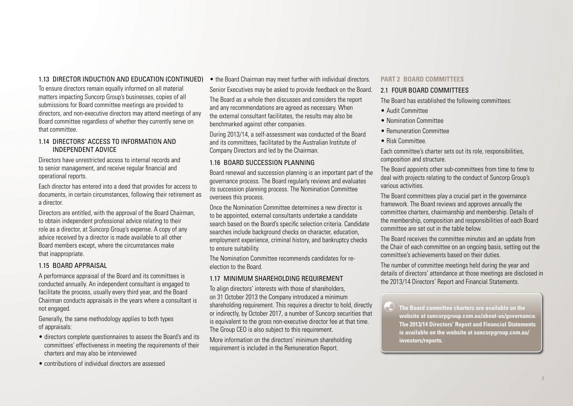## 1.13 DIRECTOR INDUCTION AND EDUCATION (CONTINUED)

To ensure directors remain equally informed on all material matters impacting Suncorp Group's businesses, copies of all submissions for Board committee meetings are provided to directors, and non-executive directors may attend meetings of any Board committee regardless of whether they currently serve on that committee.

### 1.14 DIRECTORS' ACCESS TO INFORMATION AND INDEPENDENT ADVICE

Directors have unrestricted access to internal records and to senior management, and receive regular financial and operational reports.

Each director has entered into a deed that provides for access to documents, in certain circumstances, following their retirement as a director.

Directors are entitled, with the approval of the Board Chairman, to obtain independent professional advice relating to their role as a director, at Suncorp Group's expense. A copy of any advice received by a director is made available to all other Board members except, where the circumstances make that inappropriate.

## 1.15 BOARD APPRAISAL

A performance appraisal of the Board and its committees is conducted annually. An independent consultant is engaged to facilitate the process, usually every third year, and the Board Chairman conducts appraisals in the years where a consultant is not engaged.

Generally, the same methodology applies to both types of appraisals:

- directors complete questionnaires to assess the Board's and its committees' effectiveness in meeting the requirements of their charters and may also be interviewed
- contributions of individual directors are assessed

• the Board Chairman may meet further with individual directors. Senior Executives may be asked to provide feedback on the Board.

The Board as a whole then discusses and considers the report and any recommendations are agreed as necessary. When the external consultant facilitates, the results may also be benchmarked against other companies.

During 2013/14, a self-assessment was conducted of the Board and its committees, facilitated by the Australian Institute of Company Directors and led by the Chairman.

## 1.16 BOARD SUCCESSION PLANNING

Board renewal and succession planning is an important part of the governance process. The Board regularly reviews and evaluates its succession planning process. The Nomination Committee oversees this process.

Once the Nomination Committee determines a new director is to be appointed, external consultants undertake a candidate search based on the Board's specific selection criteria. Candidate searches include background checks on character, education, employment experience, criminal history, and bankruptcy checks to ensure suitability.

The Nomination Committee recommends candidates for reelection to the Board.

## 1.17 MINIMUM SHAREHOLDING REQUIREMENT

To align directors' interests with those of shareholders, on 31 October 2013 the Company introduced a minimum shareholding requirement. This requires a director to hold, directly or indirectly, by October 2017, a number of Suncorp securities that is equivalent to the gross non-executive director fee at that time. The Group CEO is also subject to this requirement.

More information on the directors' minimum shareholding requirement is included in the Remuneration Report.

#### **PART 2 BOARD COMMITTEES**

### 2.1 FOUR BOARD COMMITTEES

The Board has established the following committees:

- Audit Committee
- Nomination Committee
- Remuneration Committee
- Risk Committee.

Each committee's charter sets out its role, responsibilities, composition and structure.

The Board appoints other sub-committees from time to time to deal with projects relating to the conduct of Suncorp Group's various activities.

The Board committees play a crucial part in the governance framework. The Board reviews and approves annually the committee charters, chairmanship and membership. Details of the membership, composition and responsibilities of each Board committee are set out in the table below.

The Board receives the committee minutes and an update from the Chair of each committee on an ongoing basis, setting out the committee's achievements based on their duties.

The number of committee meetings held during the year and details of directors' attendance at those meetings are disclosed in the 2013/14 Directors' Report and Financial Statements.

 **The Board committee charters are available on the website at [suncorpgroup.com.au/about-us/governance](www.suncorpgroup.com.au/about-us/governance). The 2013/14 Directors' Report and Financial Statements is available on the website at [suncorpgroup.com.au/](http://www.suncorpgroup.com.au/investors/reports) [investors/reports.](http://www.suncorpgroup.com.au/investors/reports)**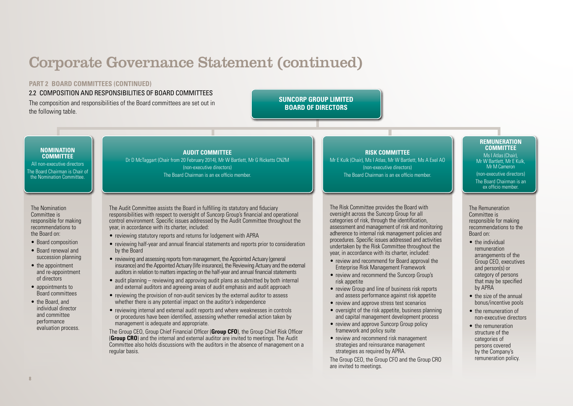**PART 2 BOARD COMMITTEES (CONTINUED)**

2.2 COMPOSITION AND RESPONSIBILITIES OF BOARD COMMITTEES The composition and responsibilities of the Board committees are set out in the following table.

## **SUNCORP GROUP LIMITED BOARD OF DIRECTORS**

#### **NOMINATION COMMITTEE**

All non-executive directors The Board Chairman is Chair of the Nomination Committee.

The Nomination Committee is responsible for making recommendations to the Board on:

- Board composition
- Board renewal and succession planning
- the appointment and re-appointment of directors
- appointments to Board committees
- the Board, and individual director and committee performance evaluation process.

### **AUDIT COMMITTEE**

Dr D McTaggart (Chair from 20 February 2014), Mr W Bartlett, Mr G Ricketts CNZM (non-executive directors) The Board Chairman is an ex officio member.

The Audit Committee assists the Board in fulfilling its statutory and fiduciary responsibilities with respect to oversight of Suncorp Group's financial and operational control environment. Specific issues addressed by the Audit Committee throughout the year, in accordance with its charter, included:

- reviewing statutory reports and returns for lodgement with APRA
- reviewing half-year and annual financial statements and reports prior to consideration by the Board
- reviewing and assessing reports from management, the Appointed Actuary (general insurance) and the Appointed Actuary (life insurance), the Reviewing Actuary and the external auditors in relation to matters impacting on the half-year and annual financial statements
- audit planning reviewing and approving audit plans as submitted by both internal and external auditors and agreeing areas of audit emphasis and audit approach
- reviewing the provision of non-audit services by the external auditor to assess whether there is any potential impact on the auditor's independence
- reviewing internal and external audit reports and where weaknesses in controls or procedures have been identified, assessing whether remedial action taken by management is adequate and appropriate.

The Group CEO, Group Chief Financial Officer (**Group CFO**), the Group Chief Risk Officer (**Group CRO**) and the internal and external auditor are invited to meetings. The Audit Committee also holds discussions with the auditors in the absence of management on a regular basis.

**RISK COMMITTEE**

Mr E Kulk (Chair), Ms I Atlas, Mr W Bartlett, Ms A Exel AO (non-executive directors) The Board Chairman is an ex officio member.

The Risk Committee provides the Board with oversight across the Suncorp Group for all categories of risk, through the identification, assessment and management of risk and monitoring adherence to internal risk management policies and procedures. Specific issues addressed and activities undertaken by the Risk Committee throughout the year, in accordance with its charter, included:

- review and recommend for Board approval the Enterprise Risk Management Framework
- review and recommend the Suncorp Group's risk appetite
- review Group and line of business risk reports and assess performance against risk appetite
- review and approve stress test scenarios
- oversight of the risk appetite, business planning and capital management development process
- review and approve Suncorp Group policy framework and policy suite
- review and recommend risk management strategies and reinsurance management strategies as required by APRA.

The Group CEO, the Group CFO and the Group CRO are invited to meetings.

#### **REMUNERATION COMMITTEE**

Ms I Atlas (Chair), Mr W Bartlett, Mr E Kulk Mr M Cameron (non-executive directors) The Board Chairman is an ex officio member.

The Remuneration Committee is responsible for making recommendations to the Board on:

- the individual remuneration arrangements of the Group CEO, executives and person(s) or category of persons that may be specified by APRA
- the size of the annual bonus/incentive pools
- the remuneration of non-executive directors
- the remuneration structure of the categories of persons covered by the Company's remuneration policy.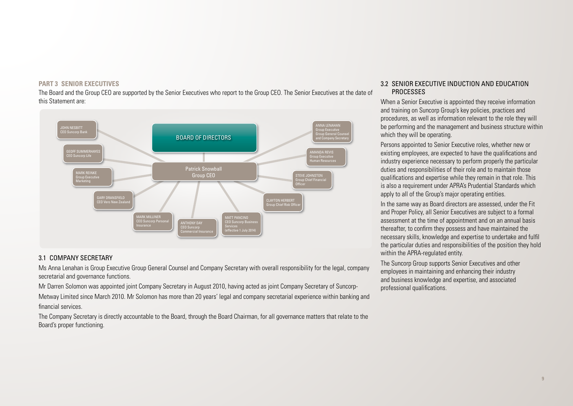#### **PART 3 SENIOR EXECUTIVES**

The Board and the Group CEO are supported by the Senior Executives who report to the Group CEO. The Senior Executives at the date of this Statement are:



## 3.1 COMPANY SECRETARY

Ms Anna Lenahan is Group Executive Group General Counsel and Company Secretary with overall responsibility for the legal, company secretarial and governance functions.

Mr Darren Solomon was appointed joint Company Secretary in August 2010, having acted as joint Company Secretary of Suncorp-Metway Limited since March 2010. Mr Solomon has more than 20 years' legal and company secretarial experience within banking and financial services.

The Company Secretary is directly accountable to the Board, through the Board Chairman, for all governance matters that relate to the Board's proper functioning.

#### 3.2 SENIOR EXECUTIVE INDUCTION AND EDUCATION PROCESSES

When a Senior Executive is appointed they receive information and training on Suncorp Group's key policies, practices and procedures, as well as information relevant to the role they will be performing and the management and business structure within which they will be operating.

Persons appointed to Senior Executive roles, whether new or existing employees, are expected to have the qualifications and industry experience necessary to perform properly the particular duties and responsibilities of their role and to maintain those qualifications and expertise while they remain in that role. This is also a requirement under APRA's Prudential Standards which apply to all of the Group's major operating entities.

In the same way as Board directors are assessed, under the Fit and Proper Policy, all Senior Executives are subject to a formal assessment at the time of appointment and on an annual basis thereafter, to confirm they possess and have maintained the necessary skills, knowledge and expertise to undertake and fulfil the particular duties and responsibilities of the position they hold within the APRA-regulated entity.

The Suncorp Group supports Senior Executives and other employees in maintaining and enhancing their industry and business knowledge and expertise, and associated professional qualifications.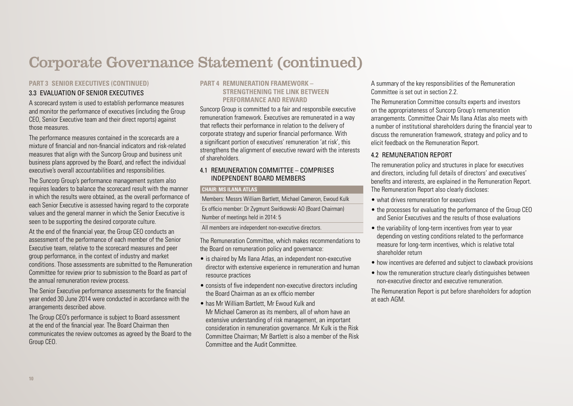## **PART 3 SENIOR EXECUTIVES (CONTINUED)**

## 3.3 EVALUATION OF SENIOR EXECUTIVES

A scorecard system is used to establish performance measures and monitor the performance of executives (including the Group CEO, Senior Executive team and their direct reports) against those measures.

The performance measures contained in the scorecards are a mixture of financial and non-financial indicators and risk-related measures that align with the Suncorp Group and business unit business plans approved by the Board, and reflect the individual executive's overall accountabilities and responsibilities.

The Suncorp Group's performance management system also requires leaders to balance the scorecard result with the manner in which the results were obtained, as the overall performance of each Senior Executive is assessed having regard to the corporate values and the general manner in which the Senior Executive is seen to be supporting the desired corporate culture.

At the end of the financial year, the Group CEO conducts an assessment of the performance of each member of the Senior Executive team, relative to the scorecard measures and peer group performance, in the context of industry and market conditions. Those assessments are submitted to the Remuneration Committee for review prior to submission to the Board as part of the annual remuneration review process.

The Senior Executive performance assessments for the financial year ended 30 June 2014 were conducted in accordance with the arrangements described above.

The Group CEO's performance is subject to Board assessment at the end of the financial year. The Board Chairman then communicates the review outcomes as agreed by the Board to the Group CEO.

### **PART 4 REMUNERATION FRAMEWORK – STRENGTHENING THE LINK RETWEEN PERFORMANCE AND REWARD**

Suncorp Group is committed to a fair and responsbile executive remuneration framework. Executives are remunerated in a way that reflects their performance in relation to the delivery of corporate strategy and superior financial performance. With a significant portion of executives' remuneration 'at risk', this strengthens the alignment of executive reward with the interests of shareholders.

## 4.1 REMUNERATION COMMITTEE – COMPRISES INDEPENDENT BOARD MEMBERS

#### **CHAIR: MS ILANA ATLAS**

Members: Messrs William Bartlett, Michael Cameron, Ewoud Kulk Ex officio member: Dr Zygmunt Switkowski AO (Board Chairman) Number of meetings held in 2014: 5

All members are independent non-executive directors.

The Remuneration Committee, which makes recommendations to the Board on remuneration policy and governance:

- is chaired by Ms Ilana Atlas, an independent non-executive director with extensive experience in remuneration and human resource practices
- consists of five independent non-executive directors including the Board Chairman as an ex officio member
- has Mr William Bartlett, Mr Ewoud Kulk and Mr Michael Cameron as its members, all of whom have an extensive understanding of risk management, an important consideration in remuneration governance. Mr Kulk is the Risk Committee Chairman; Mr Bartlett is also a member of the Risk Committee and the Audit Committee.

A summary of the key responsibilities of the Remuneration Committee is set out in section 2.2.

The Remuneration Committee consults experts and investors on the appropriateness of Suncorp Group's remuneration arrangements. Committee Chair Ms Ilana Atlas also meets with a number of institutional shareholders during the financial year to discuss the remuneration framework, strategy and policy and to elicit feedback on the Remuneration Report.

## 4.2 REMUNERATION REPORT

The remuneration policy and structures in place for executives and directors, including full details of directors' and executives' benefits and interests, are explained in the Remuneration Report. The Remuneration Report also clearly discloses:

- what drives remuneration for executives
- the processes for evaluating the performance of the Group CEO and Senior Executives and the results of those evaluations
- the variability of long-term incentives from year to year depending on vesting conditions related to the performance measure for long-term incentives, which is relative total shareholder return
- how incentives are deferred and subject to clawback provisions
- how the remuneration structure clearly distinguishes between non-executive director and executive remuneration.

The Remuneration Report is put before shareholders for adoption at each AGM.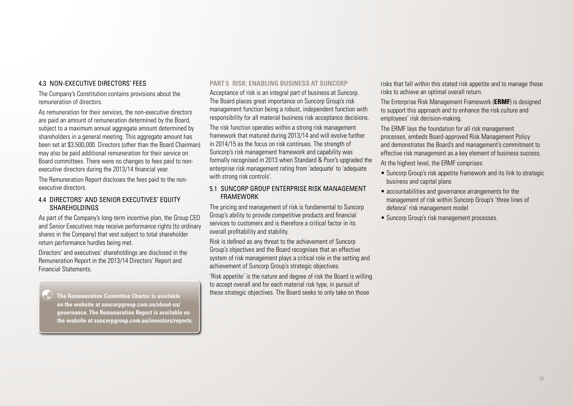#### 4.3 NON-EXECUTIVE DIRECTORS' FEES

The Company's Constitution contains provisions about the remuneration of directors.

As remuneration for their services, the non-executive directors are paid an amount of remuneration determined by the Board, subject to a maximum annual aggregate amount determined by shareholders in a general meeting. This aggregate amount has been set at \$3,500,000. Directors (other than the Board Chairman) may also be paid additional remuneration for their service on Board committees. There were no changes to fees paid to nonexecutive directors during the 2013/14 financial year.

The Remuneration Report discloses the fees paid to the nonexecutive directors.

#### 4.4 DIRECTORS' AND SENIOR EXECUTIVES' EQUITY SHARFHOLDINGS

As part of the Company's long-term incentive plan, the Group CEO and Senior Executives may receive performance rights (to ordinary shares in the Company) that vest subject to total shareholder return performance hurdles being met.

Directors' and executives' shareholdings are disclosed in the Remuneration Report in the 2013/14 Directors' Report and Financial Statements.

 **The Remuneration Committee Charter is available on the website at [suncorpgroup.com.au/about-us/](http://www.suncorpgroup.com.au/about-us/governance) [governance](http://www.suncorpgroup.com.au/about-us/governance). The Remuneration Report is available on the website at [suncorpgroup.com.au/investors/reports.](http://www.suncorpgroup.com.au/investors/reports)**

#### **PART 5 RISK: ENABLING BUSINESS AT SUNCORP**

Acceptance of risk is an integral part of business at Suncorp. The Board places great importance on Suncorp Group's risk management function being a robust, independent function with responsibility for all material business risk acceptance decisions.

The risk function operates within a strong risk management framework that matured during 2013/14 and will evolve further in 2014/15 as the focus on risk continues. The strength of Suncorp's risk management framework and capability was formally recognised in 2013 when Standard & Poor's upgraded the enterprise risk management rating from 'adequate' to 'adequate with strong risk controls'.

#### 5.1 SUNCORP GROUP ENTERPRISE RISK MANAGEMENT FRAMEWORK

The pricing and management of risk is fundamental to Suncorp Group's ability to provide competitive products and financial services to customers and is therefore a critical factor in its overall profitability and stability.

Risk is defined as any threat to the achievement of Suncorp Group's objectives and the Board recognises that an effective system of risk management plays a critical role in the setting and achievement of Suncorp Group's strategic objectives.

'Risk appetite' is the nature and degree of risk the Board is willing to accept overall and for each material risk type, in pursuit of these strategic objectives. The Board seeks to only take on those

risks that fall within this stated risk appetite and to manage these risks to achieve an optimal overall return.

The Enterprise Risk Management Framework (**ERMF**) is designed to support this approach and to enhance the risk culture and employees' risk decision-making.

The ERMF lays the foundation for all risk management processes, embeds Board-approved Risk Management Policy and demonstrates the Board's and management's commitment to effective risk management as a key element of business success.

At the highest level, the ERMF comprises:

- Suncorp Group's risk appetite framework and its link to strategic business and capital plans
- accountabilities and governance arrangements for the management of risk within Suncorp Group's 'three lines of defence' risk management model
- Suncorp Group's risk management processes.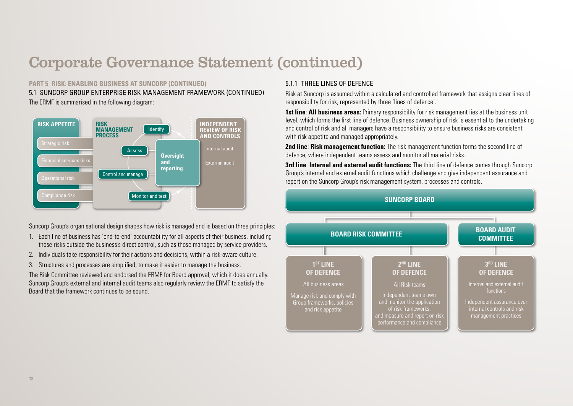### **PART 5 RISK: ENABLING BUSINESS AT SUNCORP (CONTINUED)**

The ERMF is summarised in the following diagram: 5.1 SUNCORP GROUP ENTERPRISE RISK MANAGEMENT FRAMEWORK (CONTINUED)



Suncorp Group's organisational design shapes how risk is managed and is based on three principles:

- 1. Each line of business has 'end-to-end' accountability for all aspects of their business, including those risks outside the business's direct control, such as those managed by service providers.
- 2. Individuals take responsibility for their actions and decisions, within a risk-aware culture.
- 3. Structures and processes are simplified, to make it easier to manage the business.

The Risk Committee reviewed and endorsed the ERMF for Board approval, which it does annually. Suncorp Group's external and internal audit teams also regularly review the ERMF to satisfy the Board that the framework continues to be sound.

## 5.1.1 THREE LINES OF DEFENCE

Risk at Suncorp is assumed within a calculated and controlled framework that assigns clear lines of responsibility for risk, represented by three 'lines of defence'.

**1st line**: **All business areas:** Primary responsibility for risk management lies at the business unit level, which forms the first line of defence. Business ownership of risk is essential to the undertaking and control of risk and all managers have a responsibility to ensure business risks are consistent with risk appetite and managed appropriately.

**2nd line**: **Risk management function:** The risk management function forms the second line of defence, where independent teams assess and monitor all material risks.

**3rd line**: **Internal and external audit functions:** The third line of defence comes through Suncorp Group's internal and external audit functions which challenge and give independent assurance and report on the Suncorp Group's risk management system, processes and controls.

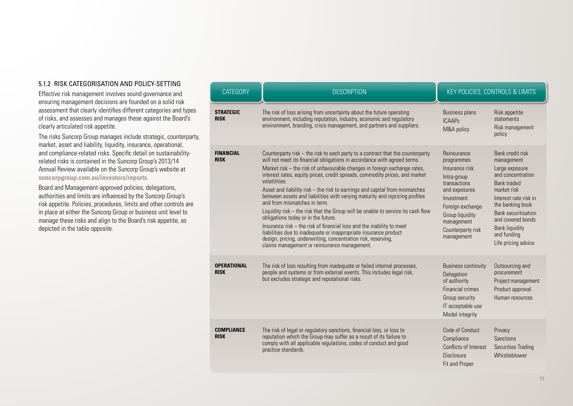#### 5.1.2 RISK CATEGORISATION AND POLICY-SETTING

Effective risk management involves sound governance and ensuring management decisions are founded on a solid risk assessment that clearly identifies different categories and types of risks, and assesses and manages these against the Board's clearly articulated risk appetite.

The risks Suncorp Group manages include strategic, counterparty, market, asset and liability, liquidity, insurance, operational, and compliance-related risks. Specific detail on sustainabilityrelated risks is contained in the Suncorp Group's 2013/14 Annual Review available on the Suncorp Group's website at **[suncorpgroup.com.au/investors/reports](http://www.suncorpgroup.com.au/investors/reports)**.

Board and Management-approved policies, delegations, authorities and limits are influenced by the Suncorp Group's risk appetite. Policies, procedures, limits and other controls are in place at either the Suncorp Group or business unit level to manage these risks and align to the Board's risk appetite, as depicted in the table opposite.

| <b>CATEGORY</b>                   | <b>DESCRIPTION</b>                                                                                                                                                                                                                                                                                                                                                                                                                                                                                                                                                                                                                                                                                                                                                                                                                                                                                                             |                                                                                                                                                                                                          | KEY POLICIES, CONTROLS & LIMITS                                                                                                                                                                                                                                           |
|-----------------------------------|--------------------------------------------------------------------------------------------------------------------------------------------------------------------------------------------------------------------------------------------------------------------------------------------------------------------------------------------------------------------------------------------------------------------------------------------------------------------------------------------------------------------------------------------------------------------------------------------------------------------------------------------------------------------------------------------------------------------------------------------------------------------------------------------------------------------------------------------------------------------------------------------------------------------------------|----------------------------------------------------------------------------------------------------------------------------------------------------------------------------------------------------------|---------------------------------------------------------------------------------------------------------------------------------------------------------------------------------------------------------------------------------------------------------------------------|
| <b>STRATEGIC</b><br><b>RISK</b>   | The risk of loss arising from uncertainty about the future operating<br>environment, including reputation, industry, economic and regulatory<br>environment, branding, crisis management, and partners and suppliers.                                                                                                                                                                                                                                                                                                                                                                                                                                                                                                                                                                                                                                                                                                          | <b>Business plans</b><br><b>ICAAPs</b><br>M&A policy                                                                                                                                                     | Risk appetite<br>statements<br>Risk management<br>policy                                                                                                                                                                                                                  |
| <b>FINANCIAL</b><br><b>RISK</b>   | Counterparty risk - the risk to each party to a contract that the counterparty<br>will not meet its financial obligations in accordance with agreed terms.<br>Market risk - the risk of unfavourable changes in foreign exchange rates,<br>interest rates, equity prices, credit spreads, commodity prices, and market<br>volatilities.<br>Asset and liability risk - the risk to earnings and capital from mismatches<br>between assets and liabilities with varying maturity and repricing profiles<br>and from mismatches in term.<br>Liquidity risk - the risk that the Group will be unable to service its cash flow<br>obligations today or in the future.<br>Insurance risk - the risk of financial loss and the inability to meet<br>liabilities due to inadequate or inappropriate insurance product<br>design, pricing, underwriting, concentration risk, reserving,<br>claims management or reinsurance management. | Reinsurance<br>programmes<br>Insurance risk<br>Intra-group<br>transactions<br>and exposures<br>Investment<br>Foreign exchange<br><b>Group liquidity</b><br>management<br>Counterparty risk<br>management | Bank credit risk<br>management<br>Large exposure<br>and concentration<br><b>Bank traded</b><br>market risk<br>Interest rate risk in<br>the banking book<br><b>Bank securitisation</b><br>and covered bonds<br><b>Bank liquidity</b><br>and funding<br>Life pricing advice |
| <b>OPERATIONAL</b><br><b>RISK</b> | The risk of loss resulting from inadequate or failed internal processes,<br>people and systems or from external events. This includes legal risk,<br>but excludes strategic and reputational risks.                                                                                                                                                                                                                                                                                                                                                                                                                                                                                                                                                                                                                                                                                                                            | <b>Business continuity</b><br>Delegation<br>of authority<br><b>Financial crimes</b><br>Group security<br>IT acceptable use<br>Model integrity                                                            | Outsourcing and<br>procurement<br>Project management<br>Product approval<br>Human resources                                                                                                                                                                               |
| <b>COMPLIANCE</b><br><b>RISK</b>  | The risk of legal or regulatory sanctions, financial loss, or loss to<br>reputation which the Group may suffer as a result of its failure to<br>comply with all applicable regulations, codes of conduct and good<br>practice standards.                                                                                                                                                                                                                                                                                                                                                                                                                                                                                                                                                                                                                                                                                       | Code of Conduct<br>Compliance<br>Conflicts of Interest<br><b>Disclosure</b><br>Fit and Proper                                                                                                            | Privacy<br><b>Sanctions</b><br><b>Securities Trading</b><br>Whistleblower                                                                                                                                                                                                 |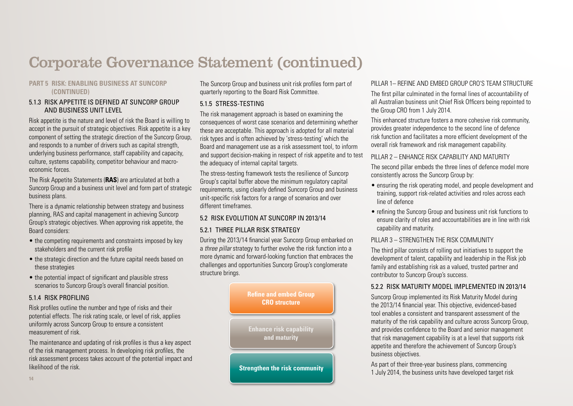#### **PART 5 RISK: ENABLING BUSINESS AT SUNCORP (CONTINUED)**

#### 5.1.3 RISK APPETITE IS DEFINED AT SUNCORP GROUP AND BUSINESS UNIT LEVEL

Risk appetite is the nature and level of risk the Board is willing to accept in the pursuit of strategic objectives. Risk appetite is a key component of setting the strategic direction of the Suncorp Group, and responds to a number of drivers such as capital strength, underlying business performance, staff capability and capacity, culture, systems capability, competitor behaviour and macroeconomic forces.

The Risk Appetite Statements (**RAS**) are articulated at both a Suncorp Group and a business unit level and form part of strategic business plans.

There is a dynamic relationship between strategy and business planning, RAS and capital management in achieving Suncorp Group's strategic objectives. When approving risk appetite, the Board considers:

- the competing requirements and constraints imposed by key stakeholders and the current risk profile
- the strategic direction and the future capital needs based on these strategies
- the potential impact of significant and plausible stress scenarios to Suncorp Group's overall financial position.

### 5.1.4 RISK PROFILING

Risk profiles outline the number and type of risks and their potential effects. The risk rating scale, or level of risk, applies uniformly across Suncorp Group to ensure a consistent measurement of risk.

The maintenance and updating of risk profiles is thus a key aspect of the risk management process. In developing risk profiles, the risk assessment process takes account of the potential impact and likelihood of the risk.

The Suncorp Group and business unit risk profiles form part of quarterly reporting to the Board Risk Committee.

## 5.1.5 STRESS-TESTING

The risk management approach is based on examining the consequences of worst case scenarios and determining whether these are acceptable. This approach is adopted for all material risk types and is often achieved by 'stress-testing' which the Board and management use as a risk assessment tool, to inform and support decision-making in respect of risk appetite and to test the adequacy of internal capital targets.

The stress-testing framework tests the resilience of Suncorp Group's capital buffer above the minimum regulatory capital requirements, using clearly defined Suncorp Group and business unit-specific risk factors for a range of scenarios and over different timeframes.

## 5.2 RISK EVOLUTION AT SUNCORP IN 2013/14

## 5.2.1 THREE PILLAR RISK STRATEGY

During the 2013/14 financial year Suncorp Group embarked on a *three pillar* strategy to further evolve the risk function into a more dynamic and forward-looking function that embraces the challenges and opportunities Suncorp Group's conglomerate structure brings.



## PILLAR 1– REFINE AND EMBED GROUP CRO'S TEAM STRUCTURE

The first pillar culminated in the formal lines of accountability of all Australian business unit Chief Risk Officers being repointed to the Group CRO from 1 July 2014.

This enhanced structure fosters a more cohesive risk community, provides greater independence to the second line of defence risk function and facilitates a more efficient development of the overall risk framework and risk management capability.

## PILLAR 2 – ENHANCE RISK CAPABILITY AND MATURITY

The second pillar embeds the three lines of defence model more consistently across the Suncorp Group by:

- ensuring the risk operating model, and people development and training, support risk-related activities and roles across each line of defence
- refining the Suncorp Group and business unit risk functions to ensure clarity of roles and accountabilities are in line with risk capability and maturity.

## PILLAR 3 – STRENGTHEN THE RISK COMMUNITY

The third pillar consists of rolling out initiatives to support the development of talent, capability and leadership in the Risk job family and establishing risk as a valued, trusted partner and contributor to Suncorp Group's success.

## 5.2.2 RISK MATURITY MODEL IMPLEMENTED IN 2013/14

Suncorp Group implemented its Risk Maturity Model during the 2013/14 financial year. This objective, evidenced-based tool enables a consistent and transparent assessment of the maturity of the risk capability and culture across Suncorp Group, and provides confidence to the Board and senior management that risk management capability is at a level that supports risk appetite and therefore the achievement of Suncorp Group's business objectives.

As part of their three-year business plans, commencing 1 July 2014, the business units have developed target risk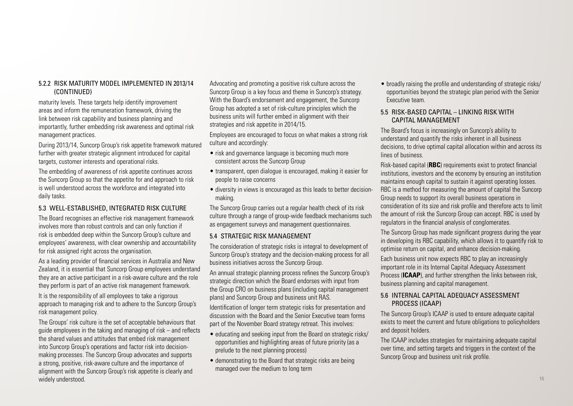### 5.2.2 RISK MATURITY MODEL IMPLEMENTED IN 2013/14 (CONTINUED)

maturity levels. These targets help identify improvement areas and inform the remuneration framework, driving the link between risk capability and business planning and importantly, further embedding risk awareness and optimal risk management practices.

During 2013/14, Suncorp Group's risk appetite framework matured further with greater strategic alignment introduced for capital targets, customer interests and operational risks.

The embedding of awareness of risk appetite continues across the Suncorp Group so that the appetite for and approach to risk is well understood across the workforce and integrated into daily tasks.

## 5.3 WELL-ESTABLISHED, INTEGRATED RISK CULTURE

The Board recognises an effective risk management framework involves more than robust controls and can only function if risk is embedded deep within the Suncorp Group's culture and employees' awareness, with clear ownership and accountability for risk assigned right across the organisation.

As a leading provider of financial services in Australia and New Zealand, it is essential that Suncorp Group employees understand they are an active participant in a risk-aware culture and the role they perform is part of an active risk management framework.

It is the responsibility of all employees to take a rigorous approach to managing risk and to adhere to the Suncorp Group's risk management policy.

The Groups' risk culture is the set of acceptable behaviours that guide employees in the taking and managing of risk – and reflects the shared values and attitudes that embed risk management into Suncorp Group's operations and factor risk into decisionmaking processes. The Suncorp Group advocates and supports a strong, positive, risk-aware culture and the importance of alignment with the Suncorp Group's risk appetite is clearly and widely understood.

Advocating and promoting a positive risk culture across the Suncorp Group is a key focus and theme in Suncorp's strategy. With the Board's endorsement and engagement, the Suncorp Group has adopted a set of risk-culture principles which the business units will further embed in alignment with their strategies and risk appetite in 2014/15.

Employees are encouraged to focus on what makes a strong risk culture and accordingly:

- risk and governance language is becoming much more consistent across the Suncorp Group
- transparent, open dialogue is encouraged, making it easier for people to raise concerns
- diversity in views is encouraged as this leads to better decisionmaking.

The Suncorp Group carries out a regular health check of its risk culture through a range of group-wide feedback mechanisms such as engagement surveys and management questionnaires.

### 5.4 STRATEGIC RISK MANAGEMENT

The consideration of strategic risks is integral to development of Suncorp Group's strategy and the decision-making process for all business initiatives across the Suncorp Group.

An annual strategic planning process refines the Suncorp Group's strategic direction which the Board endorses with input from the Group CRO on business plans (including capital management plans) and Suncorp Group and business unit RAS.

Identification of longer term strategic risks for presentation and discussion with the Board and the Senior Executive team forms part of the November Board strategy retreat. This involves:

- educating and seeking input from the Board on strategic risks/ opportunities and highlighting areas of future priority (as a prelude to the next planning process)
- demonstrating to the Board that strategic risks are being managed over the medium to long term

• broadly raising the profile and understanding of strategic risks/ opportunities beyond the strategic plan period with the Senior Executive team.

#### 5.5 RISK-BASED CAPITAL – LINKING RISK WITH CAPITAL MANAGEMENT

The Board's focus is increasingly on Suncorp's ability to understand and quantify the risks inherent in all business decisions, to drive optimal capital allocation within and across its lines of business.

Risk-based capital (**RBC**) requirements exist to protect financial institutions, investors and the economy by ensuring an institution maintains enough capital to sustain it against operating losses. RBC is a method for measuring the amount of capital the Suncorp Group needs to support its overall business operations in consideration of its size and risk profile and therefore acts to limit the amount of risk the Suncorp Group can accept. RBC is used by regulators in the financial analysis of conglomerates.

The Suncorp Group has made significant progress during the year in developing its RBC capability, which allows it to quantify risk to optimise return on capital, and enhance decision-making.

Each business unit now expects RBC to play an increasingly important role in its Internal Capital Adequacy Assessment Process (**ICAAP**), and further strengthen the links between risk, business planning and capital management.

### 5.6 INTERNAL CAPITAL ADEQUACY ASSESSMENT PROCESS (ICAAP)

The Suncorp Group's ICAAP is used to ensure adequate capital exists to meet the current and future obligations to policyholders and deposit holders.

The ICAAP includes strategies for maintaining adequate capital over time, and setting targets and triggers in the context of the Suncorp Group and business unit risk profile.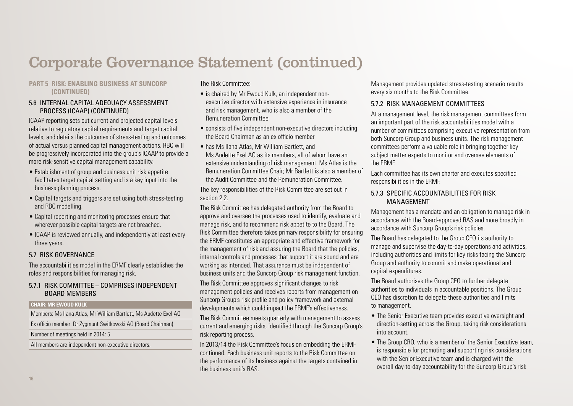#### **PART 5 RISK: ENABLING BUSINESS AT SUNCORP (CONTINUED)**

#### 5.6 INTERNAL CAPITAL ADEQUACY ASSESSMENT PROCESS (ICAAP) (CONTINUED)

ICAAP reporting sets out current and projected capital levels relative to regulatory capital requirements and target capital levels, and details the outcomes of stress-testing and outcomes of actual versus planned capital management actions. RBC will be progressively incorporated into the group's ICAAP to provide a more risk-sensitive capital management capability.

- Establishment of group and business unit risk appetite facilitates target capital setting and is a key input into the business planning process.
- Capital targets and triggers are set using both stress-testing and RBC modelling.
- Capital reporting and monitoring processes ensure that wherever possible capital targets are not breached.
- ICAAP is reviewed annually, and independently at least every three years.

### 5.7 RISK GOVERNANCE

The accountabilities model in the ERMF clearly establishes the roles and responsibilities for managing risk.

#### 5.7.1 RISK COMMITTEE – COMPRISES INDEPENDENT BOARD MEMBERS

#### **CHAIR: MR EWOUD KULK**

Members: Ms Ilana Atlas, Mr William Bartlett, Ms Audette Exel AO

Ex officio member: Dr Zygmunt Switkowski AO (Board Chairman)

Number of meetings held in 2014: 5

All members are independent non-executive directors.

The Risk Committee:

- is chaired by Mr Ewoud Kulk, an independent nonexecutive director with extensive experience in insurance and risk management, who is also a member of the Remuneration Committee
- consists of five independent non-executive directors including the Board Chairman as an ex officio member
- has Ms Ilana Atlas, Mr William Bartlett, and Ms Audette Exel AO as its members, all of whom have an extensive understanding of risk management. Ms Atlas is the Remuneration Committee Chair; Mr Bartlett is also a member of the Audit Committee and the Remuneration Committee.

The key responsibilities of the Risk Committee are set out in section 2.2.

The Risk Committee has delegated authority from the Board to approve and oversee the processes used to identify, evaluate and manage risk, and to recommend risk appetite to the Board. The Risk Committee therefore takes primary responsibility for ensuring the ERMF constitutes an appropriate and effective framework for the management of risk and assuring the Board that the policies, internal controls and processes that support it are sound and are working as intended. That assurance must be independent of business units and the Suncorp Group risk management function.

The Risk Committee approves significant changes to risk management policies and receives reports from management on Suncorp Group's risk profile and policy framework and external developments which could impact the ERMF's effectiveness.

The Risk Committee meets quarterly with management to assess current and emerging risks, identified through the Suncorp Group's risk reporting process.

In 2013/14 the Risk Committee's focus on embedding the ERMF continued. Each business unit reports to the Risk Committee on the performance of its business against the targets contained in the business unit's RAS.

Management provides updated stress-testing scenario results every six months to the Risk Committee.

### 5.7.2 RISK MANAGEMENT COMMITTEES

At a management level, the risk management committees form an important part of the risk accountabilities model with a number of committees comprising executive representation from both Suncorp Group and business units. The risk management committees perform a valuable role in bringing together key subject matter experts to monitor and oversee elements of the ERMF.

Each committee has its own charter and executes specified responsibilities in the ERMF.

#### 5.7.3 SPECIFIC ACCOUNTABILITIES FOR RISK MANAGEMENT

Management has a mandate and an obligation to manage risk in accordance with the Board-approved RAS and more broadly in accordance with Suncorp Group's risk policies.

The Board has delegated to the Group CEO its authority to manage and supervise the day-to-day operations and activities, including authorities and limits for key risks facing the Suncorp Group and authority to commit and make operational and capital expenditures.

The Board authorises the Group CEO to further delegate authorities to individuals in accountable positions. The Group CEO has discretion to delegate these authorities and limits to management.

- The Senior Executive team provides executive oversight and direction-setting across the Group, taking risk considerations into account.
- The Group CRO, who is a member of the Senior Executive team, is responsible for promoting and supporting risk considerations with the Senior Executive team and is charged with the overall day-to-day accountability for the Suncorp Group's risk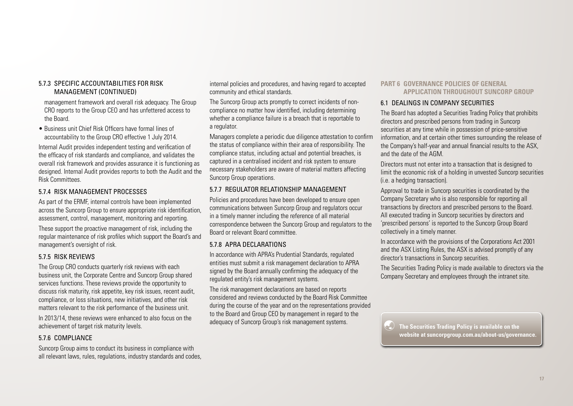#### 5.7.3 SPECIFIC ACCOUNTABILITIES FOR RISK MANAGEMENT (CONTINUED)

management framework and overall risk adequacy. The Group CRO reports to the Group CEO and has unfettered access to the Board.

• Business unit Chief Risk Officers have formal lines of accountability to the Group CRO effective 1 July 2014.

Internal Audit provides independent testing and verification of the efficacy of risk standards and compliance, and validates the overall risk framework and provides assurance it is functioning as designed. Internal Audit provides reports to both the Audit and the Risk Committees.

## 5.7.4 RISK MANAGEMENT PROCESSES

As part of the ERMF, internal controls have been implemented across the Suncorp Group to ensure appropriate risk identification, assessment, control, management, monitoring and reporting.

These support the proactive management of risk, including the regular maintenance of risk profiles which support the Board's and management's oversight of risk.

### 5.7.5 RISK REVIEWS

The Group CRO conducts quarterly risk reviews with each business unit, the Corporate Centre and Suncorp Group shared services functions. These reviews provide the opportunity to discuss risk maturity, risk appetite, key risk issues, recent audit, compliance, or loss situations, new initiatives, and other risk matters relevant to the risk performance of the business unit.

In 2013/14, these reviews were enhanced to also focus on the achievement of target risk maturity levels.

### 5.7.6 COMPLIANCE

Suncorp Group aims to conduct its business in compliance with all relevant laws, rules, regulations, industry standards and codes,

internal policies and procedures, and having regard to accepted community and ethical standards.

The Suncorp Group acts promptly to correct incidents of noncompliance no matter how identified, including determining whether a compliance failure is a breach that is reportable to a regulator.

Managers complete a periodic due diligence attestation to confirm the status of compliance within their area of responsibility. The compliance status, including actual and potential breaches, is captured in a centralised incident and risk system to ensure necessary stakeholders are aware of material matters affecting Suncorp Group operations.

## 5.7.7 REGULATOR RELATIONSHIP MANAGEMENT

Policies and procedures have been developed to ensure open communications between Suncorp Group and regulators occur in a timely manner including the reference of all material correspondence between the Suncorp Group and regulators to the Board or relevant Board committee.

### 5.7.8 APRA DECLARATIONS

In accordance with APRA's Prudential Standards, regulated entities must submit a risk management declaration to APRA signed by the Board annually confirming the adequacy of the regulated entity's risk management systems.

The risk management declarations are based on reports considered and reviews conducted by the Board Risk Committee during the course of the year and on the representations provided to the Board and Group CEO by management in regard to the adequacy of Suncorp Group's risk management systems.

#### **PART 6 GOVERNANCE POLICIES OF GENERAL APPLICATION THROUGHOUT SUNCORP GROUP**

## 6.1 DEALINGS IN COMPANY SECURITIES

The Board has adopted a Securities Trading Policy that prohibits directors and prescribed persons from trading in Suncorp securities at any time while in possession of price-sensitive information, and at certain other times surrounding the release of the Company's half-year and annual financial results to the ASX, and the date of the AGM.

Directors must not enter into a transaction that is designed to limit the economic risk of a holding in unvested Suncorp securities (i.e. a hedging transaction).

Approval to trade in Suncorp securities is coordinated by the Company Secretary who is also responsible for reporting all transactions by directors and prescribed persons to the Board. All executed trading in Suncorp securities by directors and 'prescribed persons' is reported to the Suncorp Group Board collectively in a timely manner.

In accordance with the provisions of the Corporations Act 2001 and the ASX Listing Rules, the ASX is advised promptly of any director's transactions in Suncorp securities.

The Securities Trading Policy is made available to directors via the Company Secretary and employees through the intranet site.

 **The Securities Trading Policy is available on the website at [suncorpgroup.com.au/about-us/governance](www.suncorpgroup.com.au/about-us/governance).**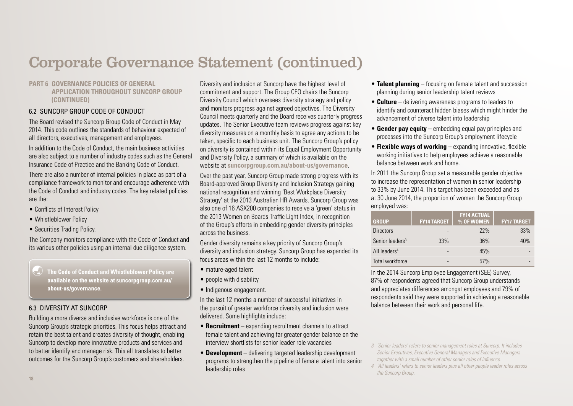### **PART 6 GOVERNANCE POLICIES OF GENERAL APPLICATION THROUGHOUT SUNCORP GROUP (CONTINUED)**

## 6.2 SUNCORP GROUP CODE OF CONDUCT

The Board revised the Suncorp Group Code of Conduct in May 2014. This code outlines the standards of behaviour expected of all directors, executives, management and employees.

In addition to the Code of Conduct, the main business activities are also subject to a number of industry codes such as the General Insurance Code of Practice and the Banking Code of Conduct.

There are also a number of internal policies in place as part of a compliance framework to monitor and encourage adherence with the Code of Conduct and industry codes. The key related policies are the:

- Conflicts of Interest Policy
- Whistleblower Policy
- Securities Trading Policy.

The Company monitors compliance with the Code of Conduct and its various other policies using an internal due diligence system.

 **The Code of Conduct and Whistleblower Policy are available on the website at [suncorpgroup.com.au/](www.suncorpgroup.com.au/about-us/governance) [about-us/governance](www.suncorpgroup.com.au/about-us/governance).** 

## 6.3 DIVERSITY AT SUNCORP

Building a more diverse and inclusive workforce is one of the Suncorp Group's strategic priorities. This focus helps attract and retain the best talent and creates diversity of thought, enabling Suncorp to develop more innovative products and services and to better identify and manage risk. This all translates to better outcomes for the Suncorp Group's customers and shareholders.

Diversity and inclusion at Suncorp have the highest level of commitment and support. The Group CEO chairs the Suncorp Diversity Council which oversees diversity strategy and policy and monitors progress against agreed objectives. The Diversity Council meets quarterly and the Board receives quarterly progress updates. The Senior Executive team reviews progress against key diversity measures on a monthly basis to agree any actions to be taken, specific to each business unit. The Suncorp Group's policy on diversity is contained within its Equal Employment Opportunity and Diversity Policy, a summary of which is available on the website at **[suncorpgroup.com.au/about-us/governance](http://www.suncorpgroup.com.au/about-us/governance)**.

Over the past year, Suncorp Group made strong progress with its Board-approved Group Diversity and Inclusion Strategy gaining national recognition and winning 'Best Workplace Diversity Strategy' at the 2013 Australian HR Awards. Suncorp Group was also one of 16 ASX200 companies to receive a 'green' status in the 2013 Women on Boards Traffic Light Index, in recognition of the Group's efforts in embedding gender diversity principles across the business.

Gender diversity remains a key priority of Suncorp Group's diversity and inclusion strategy. Suncorp Group has expanded its focus areas within the last 12 months to include:

- mature-aged talent
- people with disability
- Indigenous engagement.

In the last 12 months a number of successful initiatives in the pursuit of greater workforce diversity and inclusion were delivered. Some highlights include:

- **Recruitment** expanding recruitment channels to attract female talent and achieving far greater gender balance on the interview shortlists for senior leader role vacancies
- **Development**  delivering targeted leadership development programs to strengthen the pipeline of female talent into senior leadership roles
- **Talent planning**  focusing on female talent and succession planning during senior leadership talent reviews
- **Culture**  delivering awareness programs to leaders to identify and counteract hidden biases which might hinder the advancement of diverse talent into leadership
- **Gender pay equity**  embedding equal pay principles and processes into the Suncorp Group's employment lifecycle
- **Flexible ways of working** expanding innovative, flexible working initiatives to help employees achieve a reasonable balance between work and home.

In 2011 the Suncorp Group set a measurable gender objective to increase the representation of women in senior leadership to 33% by June 2014. This target has been exceeded and as at 30 June 2014, the proportion of women the Suncorp Group employed was:

| <b>GROUP</b>                | <b>FY14 TARGET</b> | <b>FY14 ACTUAL</b><br>% OF WOMEN | <b>FY17 TARGET</b> |
|-----------------------------|--------------------|----------------------------------|--------------------|
| <b>Directors</b>            |                    | 22%                              | 33%                |
| Senior leaders <sup>3</sup> | 33%                | 36%                              | 40%                |
| All leaders <sup>4</sup>    |                    | 45%                              |                    |
| Total workforce             |                    | 57%                              |                    |

In the 2014 Suncorp Employee Engagement (SEE) Survey, 87% of respondents agreed that Suncorp Group understands and appreciates differences amongst employees and 79% of respondents said they were supported in achieving a reasonable balance between their work and personal life.

*<sup>3</sup> 'Senior leaders' refers to senior management roles at Suncorp. It includes Senior Executives, Executive General Managers and Executive Managers together with a small number of other senior roles of influence.*

*<sup>4</sup> 'All leaders' refers to senior leaders plus all other people leader roles across the Suncorp Group.*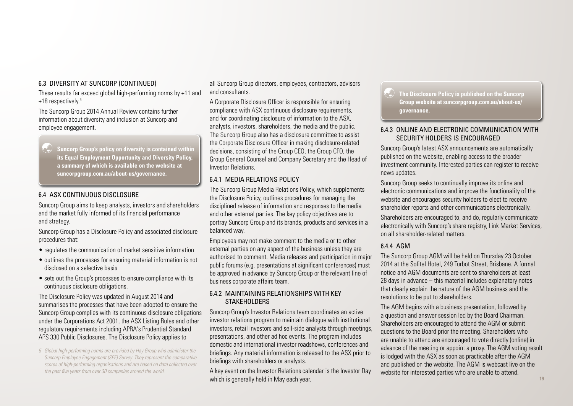#### 6.3 DIVERSITY AT SUNCORP (CONTINUED)

These results far exceed global high-performing norms by +11 and +18 respectively.<sup>5</sup>

The Suncorp Group 2014 Annual Review contains further information about diversity and inclusion at Suncorp and employee engagement.

 **Suncorp Group's policy on diversity is contained within its Equal Employment Opportunity and Diversity Policy, a summary of which is available on the website at [suncorpgroup.com.au/about-us/governance](www.suncorpgroup.com.au/about-us/governance).** 

#### 6.4 ASX CONTINUOUS DISCLOSURE

Suncorp Group aims to keep analysts, investors and shareholders and the market fully informed of its financial performance and strategy.

Suncorp Group has a Disclosure Policy and associated disclosure procedures that:

- regulates the communication of market sensitive information
- outlines the processes for ensuring material information is not disclosed on a selective basis
- sets out the Group's processes to ensure compliance with its continuous disclosure obligations.

The Disclosure Policy was updated in August 2014 and summarises the processes that have been adopted to ensure the Suncorp Group complies with its continuous disclosure obligations under the Corporations Act 2001, the ASX Listing Rules and other regulatory requirements including APRA's Prudential Standard APS 330 Public Disclosures. The Disclosure Policy applies to

*5 Global high-performing norms are provided by Hay Group who administer the Suncorp Employee Engagement (SEE) Survey. They represent the comparative scores of high-performing organisations and are based on data collected over the past five years from over 30 companies around the world.*

all Suncorp Group directors, employees, contractors, advisors and consultants.

A Corporate Disclosure Officer is responsible for ensuring compliance with ASX continuous disclosure requirements, and for coordinating disclosure of information to the ASX, analysts, investors, shareholders, the media and the public. The Suncorp Group also has a disclosure committee to assist the Corporate Disclosure Officer in making disclosure-related decisions, consisting of the Group CEO, the Group CFO, the Group General Counsel and Company Secretary and the Head of Investor Relations.

## 6.4.1 MEDIA RELATIONS POLICY

The Suncorp Group Media Relations Policy, which supplements the Disclosure Policy, outlines procedures for managing the disciplined release of information and responses to the media and other external parties. The key policy objectives are to portray Suncorp Group and its brands, products and services in a balanced way.

Employees may not make comment to the media or to other external parties on any aspect of the business unless they are authorised to comment. Media releases and participation in major public forums (e.g. presentations at significant conferences) must be approved in advance by Suncorp Group or the relevant line of business corporate affairs team.

#### 6.4.2 MAINTAINING RELATIONSHIPS WITH KEY **STAKEHOLDERS**

Suncorp Group's Investor Relations team coordinates an active investor relations program to maintain dialogue with institutional investors, retail investors and sell-side analysts through meetings, presentations, and other ad hoc events. The program includes domestic and international investor roadshows, conferences and briefings. Any material information is released to the ASX prior to briefings with shareholders or analysts.

A key event on the Investor Relations calendar is the Investor Day which is generally held in May each year.

 **The Disclosure Policy is published on the Suncorp Group website at [suncorpgroup.com.au/about-us/](www.suncorpgroup.com.au/about-us/governance) [governance.](www.suncorpgroup.com.au/about-us/governance)** 

#### 6.4.3 ONLINE AND ELECTRONIC COMMUNICATION WITH SECURITY HOLDERS IS ENCOURAGED

Suncorp Group's latest ASX announcements are automatically published on the website, enabling access to the broader investment community. Interested parties can register to receive news updates.

Suncorp Group seeks to continually improve its online and electronic communications and improve the functionality of the website and encourages security holders to elect to receive shareholder reports and other communications electronically.

Shareholders are encouraged to, and do, regularly communicate electronically with Suncorp's share registry. Link Market Services, on all shareholder-related matters.

#### 6.4.4 AGM

The Suncorp Group AGM will be held on Thursday 23 October 2014 at the Sofitel Hotel, 249 Turbot Street, Brisbane. A formal notice and AGM documents are sent to shareholders at least 28 days in advance – this material includes explanatory notes that clearly explain the nature of the AGM business and the resolutions to be put to shareholders.

The AGM begins with a business presentation, followed by a question and answer session led by the Board Chairman. Shareholders are encouraged to attend the AGM or submit questions to the Board prior the meeting. Shareholders who are unable to attend are encouraged to vote directly (online) in advance of the meeting or appoint a proxy. The AGM voting result is lodged with the ASX as soon as practicable after the AGM and published on the website. The AGM is webcast live on the website for interested parties who are unable to attend.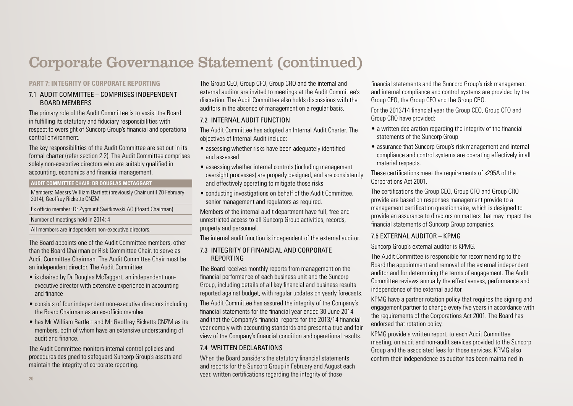## **PART 7: INTEGRITY OF CORPORATE REPORTING**

#### 7.1 AUDIT COMMITTEE – COMPRISES INDEPENDENT BOARD MEMBERS

The primary role of the Audit Committee is to assist the Board in fulfilling its statutory and fiduciary responsibilities with respect to oversight of Suncorp Group's financial and operational control environment.

The key responsibilities of the Audit Committee are set out in its formal charter (refer section 2.2). The Audit Committee comprises solely non-executive directors who are suitably qualified in accounting, economics and financial management.

#### **AUDIT COMMITTEE CHAIR: DR DOUGLAS MCTAGGART**

Members: Messrs William Bartlett (previously Chair until 20 February 2014), Geoffrey Ricketts CNZM

Ex officio member: Dr Zygmunt Switkowski AO (Board Chairman)

Number of meetings held in 2014: 4

All members are independent non-executive directors.

The Board appoints one of the Audit Committee members, other than the Board Chairman or Risk Committee Chair, to serve as Audit Committee Chairman. The Audit Committee Chair must be an independent director. The Audit Committee:

- is chaired by Dr Douglas McTaggart, an independent nonexecutive director with extensive experience in accounting and finance
- consists of four independent non-executive directors including the Board Chairman as an ex-officio member
- has Mr William Bartlett and Mr Geoffrey Ricketts CNZM as its members, both of whom have an extensive understanding of audit and finance.

The Audit Committee monitors internal control policies and procedures designed to safeguard Suncorp Group's assets and maintain the integrity of corporate reporting.

The Group CEO, Group CFO, Group CRO and the internal and external auditor are invited to meetings at the Audit Committee's discretion. The Audit Committee also holds discussions with the auditors in the absence of management on a regular basis.

## 7.2 INTERNAL AUDIT FUNCTION

The Audit Committee has adopted an Internal Audit Charter. The objectives of Internal Audit include:

- assessing whether risks have been adequately identified and assessed
- assessing whether internal controls (including management oversight processes) are properly designed, and are consistently and effectively operating to mitigate those risks
- conducting investigations on behalf of the Audit Committee, senior management and regulators as required.

Members of the internal audit department have full, free and unrestricted access to all Suncorp Group activities, records, property and personnel.

The internal audit function is independent of the external auditor.

## 7.3 INTEGRITY OF FINANCIAL AND CORPORATE REPORTING

The Board receives monthly reports from management on the financial performance of each business unit and the Suncorp Group, including details of all key financial and business results reported against budget, with regular updates on yearly forecasts.

The Audit Committee has assured the integrity of the Company's financial statements for the financial year ended 30 June 2014 and that the Company's financial reports for the 2013/14 financial year comply with accounting standards and present a true and fair view of the Company's financial condition and operational results.

## 7.4 WRITTEN DECLARATIONS

When the Board considers the statutory financial statements and reports for the Suncorp Group in February and August each year, written certifications regarding the integrity of those

financial statements and the Suncorp Group's risk management and internal compliance and control systems are provided by the Group CEO, the Group CFO and the Group CRO.

For the 2013/14 financial year the Group CEO, Group CFO and Group CRO have provided:

- a written declaration regarding the integrity of the financial statements of the Suncorp Group
- assurance that Suncorp Group's risk management and internal compliance and control systems are operating effectively in all material respects.

These certifications meet the requirements of s295A of the Corporations Act 2001.

The certifications the Group CEO, Group CFO and Group CRO provide are based on responses management provide to a management certification questionnaire, which is designed to provide an assurance to directors on matters that may impact the financial statements of Suncorp Group companies.

## 7.5 EXTERNAL AUDITOR – KPMG

### Suncorp Group's external auditor is KPMG.

The Audit Committee is responsible for recommending to the Board the appointment and removal of the external independent auditor and for determining the terms of engagement. The Audit Committee reviews annually the effectiveness, performance and independence of the external auditor.

KPMG have a partner rotation policy that requires the signing and engagement partner to change every five years in accordance with the requirements of the Corporations Act 2001. The Board has endorsed that rotation policy.

KPMG provide a written report, to each Audit Committee meeting, on audit and non-audit services provided to the Suncorp Group and the associated fees for those services. KPMG also confirm their independence as auditor has been maintained in